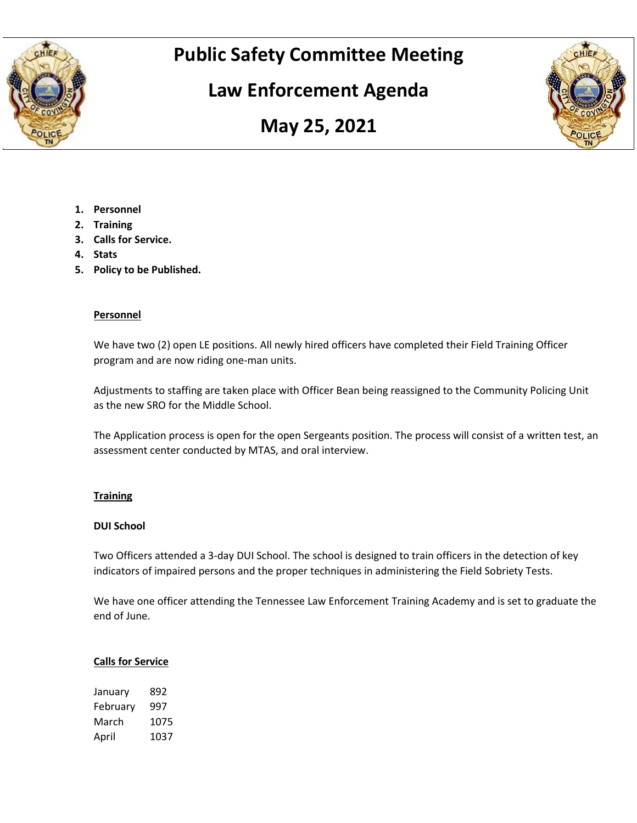

# **Public Safety Committee Meeting**

# **Law Enforcement Agenda**





- **1. Personnel**
- **2. Training**
- **3. Calls for Service.**
- **4. Stats**
- **5. Policy to be Published.**

#### **Personnel**

We have two (2) open LE positions. All newly hired officers have completed their Field Training Officer program and are now riding one-man units.

Adjustments to staffing are taken place with Officer Bean being reassigned to the Community Policing Unit as the new SRO for the Middle School.

The Application process is open for the open Sergeants position. The process will consist of a written test, an assessment center conducted by MTAS, and oral interview.

#### **Training**

#### **DUI School**

Two Officers attended a 3-day DUI School. The school is designed to train officers in the detection of key indicators of impaired persons and the proper techniques in administering the Field Sobriety Tests.

We have one officer attending the Tennessee Law Enforcement Training Academy and is set to graduate the end of June.

#### **Calls for Service**

| January  | 892  |
|----------|------|
| February | 997  |
| March    | 1075 |
| April    | 1037 |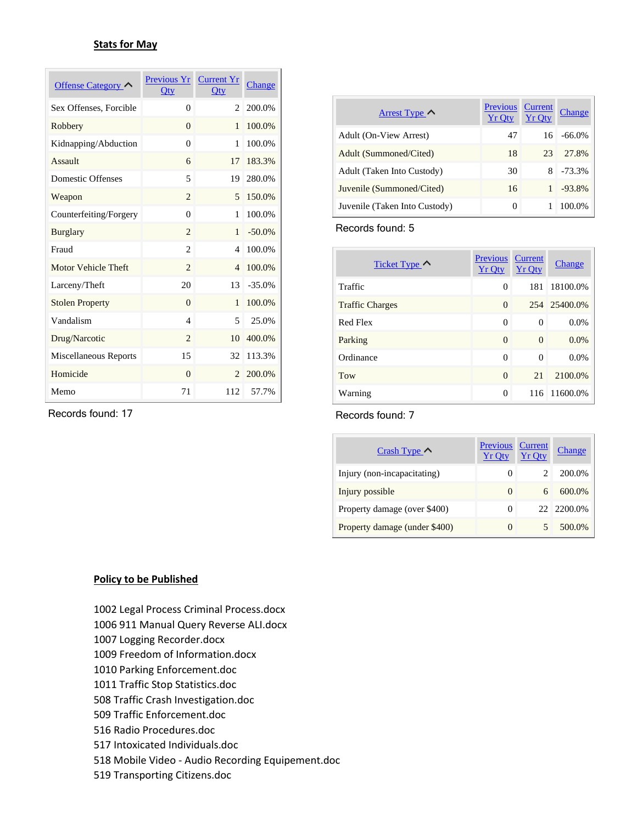#### **Stats for May**

| Offense Category       | Previous Yr<br>$Q$ ty       | <b>Current Yr</b><br>$Q$ ty | Change    |
|------------------------|-----------------------------|-----------------------------|-----------|
| Sex Offenses, Forcible | $\theta$                    | 2                           | 200.0%    |
| Robbery                | $\Omega$                    | 1                           | 100.0%    |
| Kidnapping/Abduction   | $\theta$                    | 1                           | 100.0%    |
| Assault                | 6                           | 17                          | 183.3%    |
| Domestic Offenses      | 5                           | 19                          | 280.0%    |
| Weapon                 | $\overline{c}$              | $\overline{5}$              | 150.0%    |
| Counterfeiting/Forgery | $\Omega$                    | 1                           | 100.0%    |
| <b>Burglary</b>        | $\overline{c}$              | 1                           | $-50.0\%$ |
| Fraud                  | $\overline{c}$              | 4                           | 100.0%    |
| Motor Vehicle Theft    | $\overline{2}$              | $\overline{4}$              | 100.0%    |
| Larceny/Theft          | 20                          | 13                          | $-35.0%$  |
| <b>Stolen Property</b> | $\Omega$                    | 1                           | 100.0%    |
| Vandalism              | $\overline{\mathcal{L}}$    | $\overline{5}$              | 25.0%     |
| Drug/Narcotic          | $\mathcal{D}_{\mathcal{L}}$ | 10                          | 400.0%    |
| Miscellaneous Reports  | 15                          | 32                          | 113.3%    |
| Homicide               | $\Omega$                    | $\mathcal{D}_{\mathcal{L}}$ | 200.0%    |
| Memo                   | 71                          | 112                         | 57.7%     |

Records found: 17

| Arrest Type $\sim$            | <b>Previous</b><br><b>Yr Oty</b> | Current<br><b>Yr Oty</b> | Change    |
|-------------------------------|----------------------------------|--------------------------|-----------|
| Adult (On-View Arrest)        | 47                               | 16                       | $-66.0\%$ |
| Adult (Summoned/Cited)        | 18                               | 23                       | 27.8%     |
| Adult (Taken Into Custody)    | 30                               | 8                        | $-73.3%$  |
| Juvenile (Summoned/Cited)     | 16                               |                          | $-93.8%$  |
| Juvenile (Taken Into Custody) | 0                                |                          | 100.0%    |

Records found: 5

| Ticket Type $\sim$     | <b>Previous</b><br><b>Yr Qty</b> | <b>Current</b><br><b>Yr Qty</b> | Change   |
|------------------------|----------------------------------|---------------------------------|----------|
| Traffic                | 0                                | 181                             | 18100.0% |
| <b>Traffic Charges</b> | $\Omega$                         | 254                             | 25400.0% |
| Red Flex               | 0                                | $\Omega$                        | 0.0%     |
| Parking                | $\Omega$                         | $\Omega$                        | 0.0%     |
| Ordinance              | 0                                | $\Omega$                        | 0.0%     |
| Tow                    | $\Omega$                         | 21                              | 2100.0%  |
| Warning                | $\Omega$                         | 116                             | 11600.0% |

Records found: 7

| Crash Type $\sim$             | <b>Previous</b><br><b>Yr Oty</b> | <b>Current</b><br><b>Yr Oty</b> | <b>Change</b> |
|-------------------------------|----------------------------------|---------------------------------|---------------|
| Injury (non-incapacitating)   | $\theta$                         |                                 | 200.0%        |
| Injury possible               | $\theta$                         | 6                               | 600.0%        |
| Property damage (over \$400)  | $\theta$                         |                                 | 22 2200.0%    |
| Property damage (under \$400) | $\theta$                         |                                 | 500.0%        |

#### **Policy to be Published**

- 1002 Legal Process Criminal Process.docx
- 1006 911 Manual Query Reverse ALI.docx
- 1007 Logging Recorder.docx
- 1009 Freedom of Information.docx
- 1010 Parking Enforcement.doc
- 1011 Traffic Stop Statistics.doc
- 508 Traffic Crash Investigation.doc
- 509 Traffic Enforcement.doc
- 516 Radio Procedures.doc
- 517 Intoxicated Individuals.doc
- 518 Mobile Video Audio Recording Equipement.doc
- 519 Transporting Citizens.doc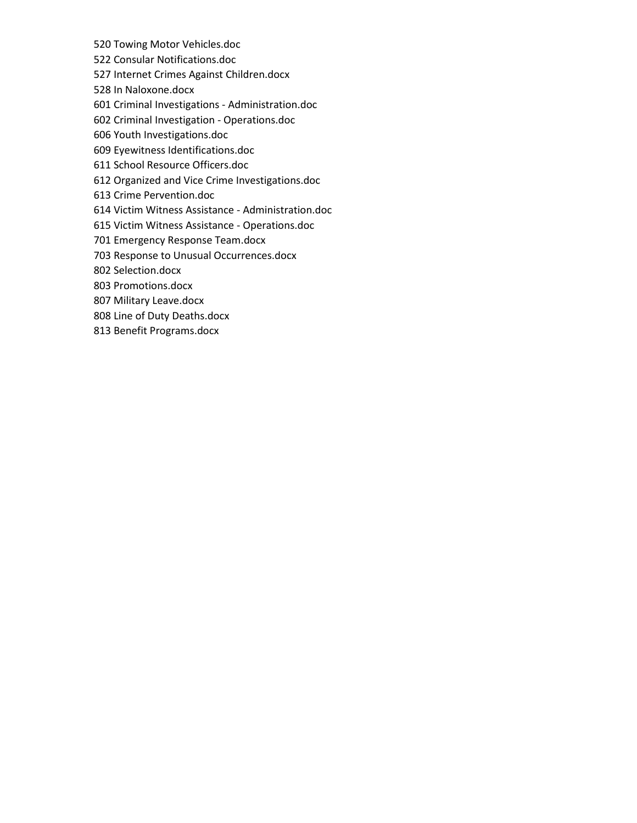- 520 Towing Motor Vehicles.doc
- 522 Consular Notifications.doc
- 527 Internet Crimes Against Children.docx
- 528 In Naloxone.docx
- 601 Criminal Investigations Administration.doc
- 602 Criminal Investigation Operations.doc
- 606 Youth Investigations.doc
- 609 Eyewitness Identifications.doc
- 611 School Resource Officers.doc
- 612 Organized and Vice Crime Investigations.doc
- 613 Crime Pervention.doc
- 614 Victim Witness Assistance Administration.doc
- 615 Victim Witness Assistance Operations.doc
- 701 Emergency Response Team.docx
- 703 Response to Unusual Occurrences.docx
- 802 Selection.docx
- 803 Promotions.docx
- 807 Military Leave.docx
- 808 Line of Duty Deaths.docx
- 813 Benefit Programs.docx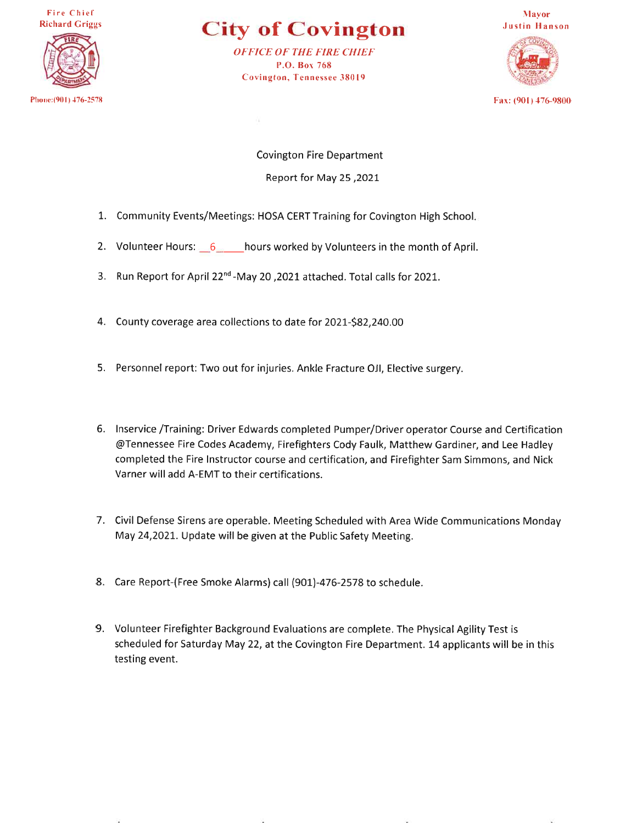Fire Chief **Richard Griggs** 



**City of Covington** 

**OFFICE OF THE FIRE CHIEF** P.O. Box 768 Covington, Tennessee 38019



**Covington Fire Department** 2021, Report for May 25

- 1. Community Events/Meetings: HOSA CERT Training for Covington High School.
- 2. Volunteer Hours:  $6$  hours worked by Volunteers in the month of April.
- 3. Run Report for April 22<sup>nd</sup>-May 20, 2021 attached. Total calls for 2021.
- 4. County coverage area collections to date for 2021-\$82,240.00
- 5. Personnel report: Two out for injuries. Ankle Fracture OJI, Elective surgery.
- 6. Inservice /Training: Driver Edwards completed Pumper/Driver operator Course and Certification @Tennessee Fire Codes Academy, Firefighters Cody Faulk, Matthew Gardiner, and Lee Hadley completed the Fire Instructor course and certification, and Firefighter Sam Simmons, and Nick Varner will add A-EMT to their certifications.
- 7. Civil Defense Sirens are operable. Meeting Scheduled with Area Wide Communications Monday May 24,2021. Update will be given at the Public Safety Meeting.
- 8. Care Report-(Free Smoke Alarms) call (901)-476-2578 to schedule.
- 9. Volunteer Firefighter Background Evaluations are complete. The Physical Agility Test is scheduled for Saturday May 22, at the Covington Fire Department. 14 applicants will be in this testing event.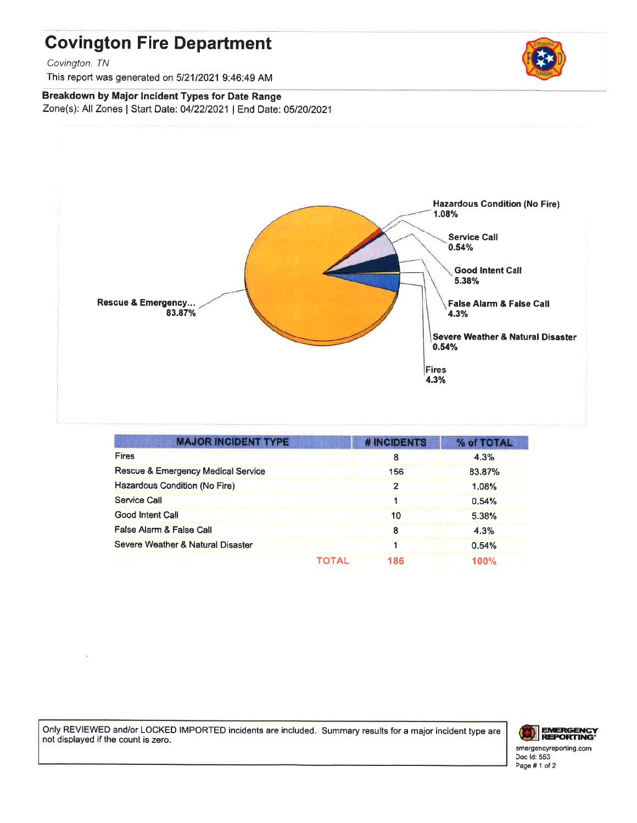### **Covington Fire Department**

Covington, TN

This report was generated on 5/21/2021 9:46:49 AM

#### Breakdown by Major Incident Types for Date Range Zone(s): All Zones | Start Date: 04/22/2021 | End Date: 05/20/2021



| <b>MAJOR INCIDENT TYPE</b>         |       | # INCIDENTS    | % of TOTAL  |
|------------------------------------|-------|----------------|-------------|
| <b>Fires</b>                       |       | 8              | 4.3%        |
| Rescue & Emergency Medical Service |       | 156            | 83.87%      |
| Hazardous Condition (No Fire)      |       | $\overline{2}$ | 1.08%       |
| Service Call                       |       |                | 0.54%       |
| <b>Good Intent Call</b>            |       | 10             | 5.38%       |
| False Alarm & False Call           |       | 8              | 4.3%        |
| Severe Weather & Natural Disaster  |       |                | 0.54%       |
|                                    | TOTAL | 186            | <b>100%</b> |

Only REVIEWED and/or LOCKED IMPORTED incidents are included. Summary results for a major incident type are not displayed if the count is zero.



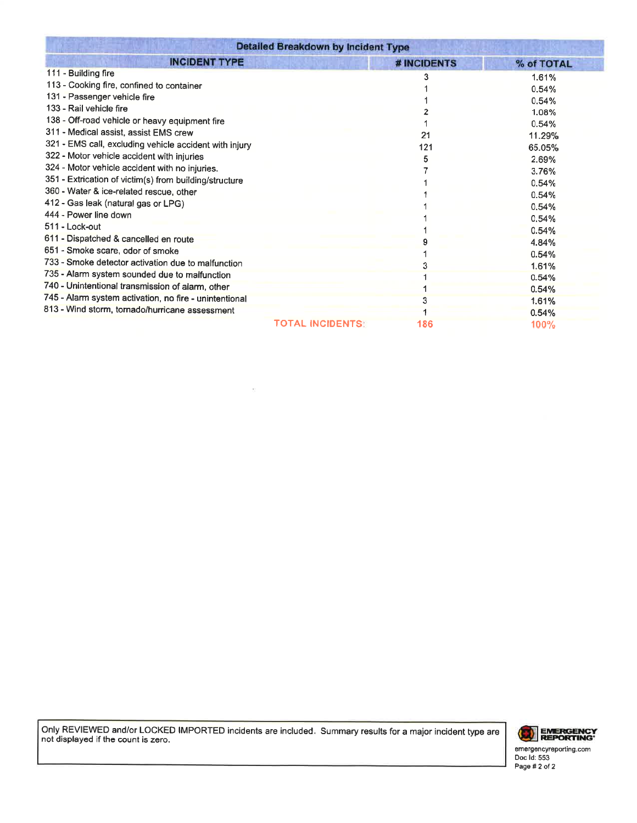| <b>Detailed Breakdown by Incident Type</b>             |                         |             |            |
|--------------------------------------------------------|-------------------------|-------------|------------|
| <b>INCIDENT TYPE</b>                                   |                         | # INCIDENTS | % of TOTAL |
| 111 - Building fire                                    |                         |             | 1.61%      |
| 113 - Cooking fire, confined to container              |                         |             | 0.54%      |
| 131 - Passenger vehicle fire                           |                         |             | 0.54%      |
| 133 - Rail vehicle fire                                |                         |             | 1.08%      |
| 138 - Off-road vehicle or heavy equipment fire         |                         |             | 0.54%      |
| 311 - Medical assist, assist EMS crew                  |                         | 21          | 11.29%     |
| 321 - EMS call, excluding vehicle accident with injury |                         | 121         | 65.05%     |
| 322 - Motor vehicle accident with injuries             |                         | 5           | 2.69%      |
| 324 - Motor vehicle accident with no injuries.         |                         |             | 3.76%      |
| 351 - Extrication of victim(s) from building/structure |                         |             | 0.54%      |
| 360 - Water & ice-related rescue, other                |                         |             | 0.54%      |
| 412 - Gas leak (natural gas or LPG)                    |                         |             | 0.54%      |
| 444 - Power line down                                  |                         |             | 0.54%      |
| 511 - Lock-out                                         |                         |             | 0.54%      |
| 611 - Dispatched & cancelled en route                  |                         |             | 4.84%      |
| 651 - Smoke scare, odor of smoke                       |                         |             | 0.54%      |
| 733 - Smoke detector activation due to malfunction     |                         |             | 1.61%      |
| 735 - Alarm system sounded due to malfunction          |                         |             | 0.54%      |
| 740 - Unintentional transmission of alarm, other       |                         |             | 0.54%      |
| 745 - Alarm system activation, no fire - unintentional |                         |             | 1.61%      |
| 813 - Wind storm, tornado/hurricane assessment         |                         |             | 0.54%      |
|                                                        | <b>TOTAL INCIDENTS:</b> | 186         | 100%       |

Only REVIEWED and/or LOCKED IMPORTED incidents are included. Summary results for a major incident type are not displayed if the count is zero.

 $\bar{\Sigma}$ 



emergencyreporting.com<br>Doc Id: 553<br>Page # 2 of 2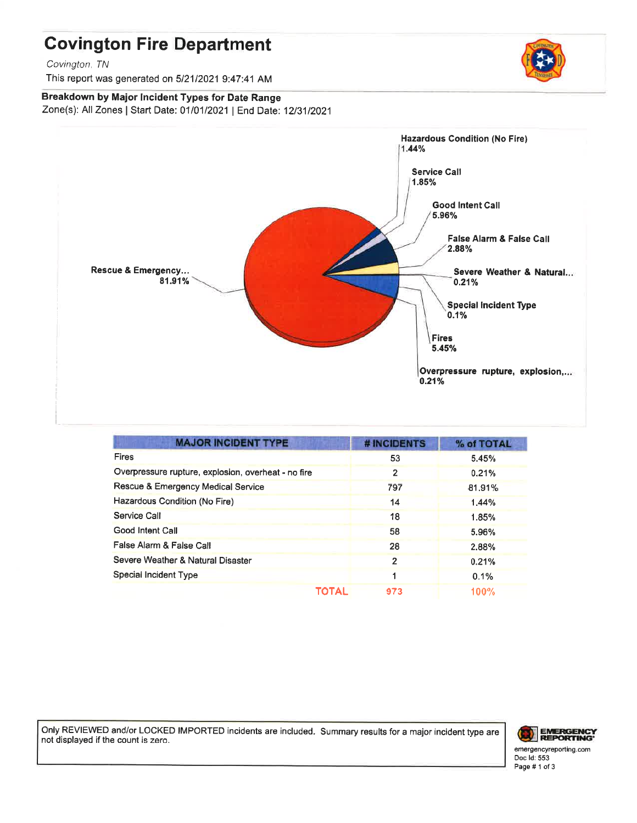## **Covington Fire Department**

Covington, TN

This report was generated on 5/21/2021 9:47:41 AM

### Breakdown by Major Incident Types for Date Range

Zone(s): All Zones | Start Date: 01/01/2021 | End Date: 12/31/2021



| <b>MAJOR INCIDENT TYPE</b>                          | # INCIDENTS  | % of TOTAL |
|-----------------------------------------------------|--------------|------------|
| <b>Fires</b>                                        | 53           | 5.45%      |
| Overpressure rupture, explosion, overheat - no fire | 2            | 0.21%      |
| Rescue & Emergency Medical Service                  | 797          | 81.91%     |
| Hazardous Condition (No Fire)                       | 14           | 1.44%      |
| Service Call                                        | 18           | 1.85%      |
| Good Intent Call                                    | 58           | 5.96%      |
| False Alarm & False Call                            | 28           | 2.88%      |
| Severe Weather & Natural Disaster                   | $\mathbf{c}$ | 0.21%      |
| Special Incident Type                               |              | 0.1%       |
| TOTAL                                               | 973          | 100%       |

Only REVIEWED and/or LOCKED IMPORTED incidents are included. Summary results for a major incident type are not displayed if the count is zero.





Doc Id: 553 Page #1 of 3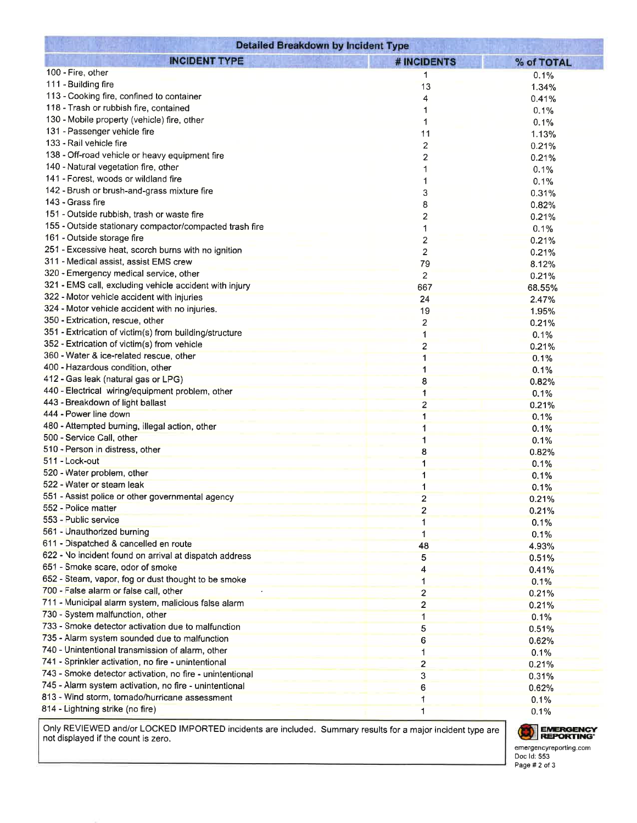| <b>Detailed Breakdown by Incident Type</b>               |                         |            |  |
|----------------------------------------------------------|-------------------------|------------|--|
| <b>INCIDENT TYPE</b>                                     | <b># INCIDENTS</b>      | % of TOTAL |  |
| 100 - Fire, other                                        | 1                       | 0.1%       |  |
| 111 - Building fire                                      | 13                      | 1.34%      |  |
| 113 - Cooking fire, confined to container                | 4                       | 0.41%      |  |
| 118 - Trash or rubbish fire, contained                   | 1                       | 0.1%       |  |
| 130 - Mobile property (vehicle) fire, other              | 1                       | 0.1%       |  |
| 131 - Passenger vehicle fire                             | 11                      | 1.13%      |  |
| 133 - Rail vehicle fire                                  | 2                       | 0.21%      |  |
| 138 - Off-road vehicle or heavy equipment fire           | 2                       | 0.21%      |  |
| 140 - Natural vegetation fire, other                     | 1                       | 0.1%       |  |
| 141 - Forest, woods or wildland fire                     | 1                       | 0.1%       |  |
| 142 - Brush or brush-and-grass mixture fire              | 3                       | 0.31%      |  |
| 143 - Grass fire                                         | 8                       | 0.82%      |  |
| 151 - Outside rubbish, trash or waste fire               | 2                       | 0.21%      |  |
| 155 - Outside stationary compactor/compacted trash fire  |                         | 0.1%       |  |
| 161 - Outside storage fire                               | 2                       | 0.21%      |  |
| 251 - Excessive heat, scorch burns with no ignition      | $\overline{c}$          | 0.21%      |  |
| 311 - Medical assist, assist EMS crew                    | 79                      | 8.12%      |  |
| 320 - Emergency medical service, other                   | 2                       | 0.21%      |  |
| 321 - EMS call, excluding vehicle accident with injury   | 667                     | 68.55%     |  |
| 322 - Motor vehicle accident with injuries               | 24                      | 2.47%      |  |
| 324 - Motor vehicle accident with no injuries.           | 19                      | 1.95%      |  |
| 350 - Extrication, rescue, other                         | 2                       | 0.21%      |  |
| 351 - Extrication of victim(s) from building/structure   |                         | 0.1%       |  |
| 352 - Extrication of victim(s) from vehicle              | $\overline{2}$          | 0.21%      |  |
| 360 - Water & ice-related rescue, other                  | 1                       | 0.1%       |  |
| 400 - Hazardous condition, other                         | 1                       | 0.1%       |  |
| 412 - Gas leak (natural gas or LPG)                      | 8                       | 0.82%      |  |
| 440 - Electrical wiring/equipment problem, other         |                         | 0.1%       |  |
| 443 - Breakdown of light ballast                         | 2                       | 0.21%      |  |
| 444 - Power line down                                    | 1                       | 0.1%       |  |
| 480 - Attempted burning, illegal action, other           |                         | 0.1%       |  |
| 500 - Service Call, other                                |                         | 0.1%       |  |
| 510 - Person in distress, other                          | 8                       | 0.82%      |  |
| 511 - Lock-out                                           | 1                       | 0.1%       |  |
| 520 - Water problem, other                               |                         | 0.1%       |  |
| 522 - Water or steam leak                                |                         | 0.1%       |  |
| 551 - Assist police or other governmental agency         | $\overline{2}$          | 0.21%      |  |
| 552 - Police matter                                      | $\overline{2}$          | 0.21%      |  |
| 553 - Public service                                     |                         | 0.1%       |  |
| 561 - Unauthorized burning                               | 1                       | 0.1%       |  |
| 611 - Dispatched & cancelled en route                    | 48                      | 4.93%      |  |
| 622 - No incident found on arrival at dispatch address   | 5                       |            |  |
| 651 - Smoke scare, odor of smoke                         |                         | 0.51%      |  |
| 652 - Steam, vapor, fog or dust thought to be smoke      |                         | 0.41%      |  |
| 700 - False alarm or false call, other                   |                         | 0.1%       |  |
| 711 - Municipal alarm system, malicious false alarm      | $\overline{\mathbf{c}}$ | 0.21%      |  |
| 730 - System malfunction, other                          | 2                       | 0.21%      |  |
| 733 - Smoke detector activation due to malfunction       | $\mathbf{1}$            | 0.1%       |  |
| 735 - Alarm system sounded due to malfunction            | 5                       | 0.51%      |  |
| 740 - Unintentional transmission of alarm, other         | 6                       | 0.62%      |  |
| 741 - Sprinkler activation, no fire - unintentional      | 1                       | 0.1%       |  |
| 743 - Smoke detector activation, no fire - unintentional | $\overline{2}$          | 0.21%      |  |
| 745 - Alarm system activation, no fire - unintentional   | 3                       | 0.31%      |  |
| 813 - Wind storm, tornado/hurricane assessment           | 6                       | 0.62%      |  |
| 814 - Lightning strike (no fire)                         |                         | 0.1%       |  |
|                                                          | 1                       | 0.1%       |  |

Only REVIEWED and/or LOCKED IMPORTED incidents are included. Summary results for a major incident type are not displayed if the count is zero.

EMERGENCY emergencyreporting.com<br>Doc Id: 553 Page # 2 of 3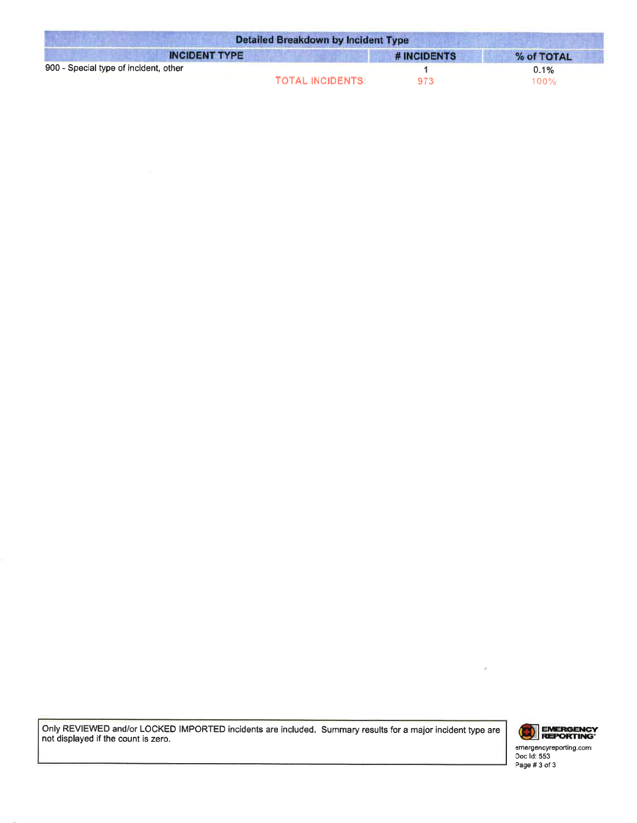| <b>Detailed Breakdown by Incident Type</b> |             |            |  |
|--------------------------------------------|-------------|------------|--|
| <b>INCIDENT TYPE</b>                       | # INCIDENTS | % of TOTAL |  |
| 900 - Special type of incident, other      |             | 0.1%       |  |
| <b>TOTAL INCIDENTS:</b>                    | 973         | $100\%$    |  |

Only REVIEWED and/or LOCKED IMPORTED incidents are included. Summary results for a major incident type are not displayed if the count is zero.



emergencyreporting.com<br>Doc Id: 553 Page #3 of 3

 $\alpha$